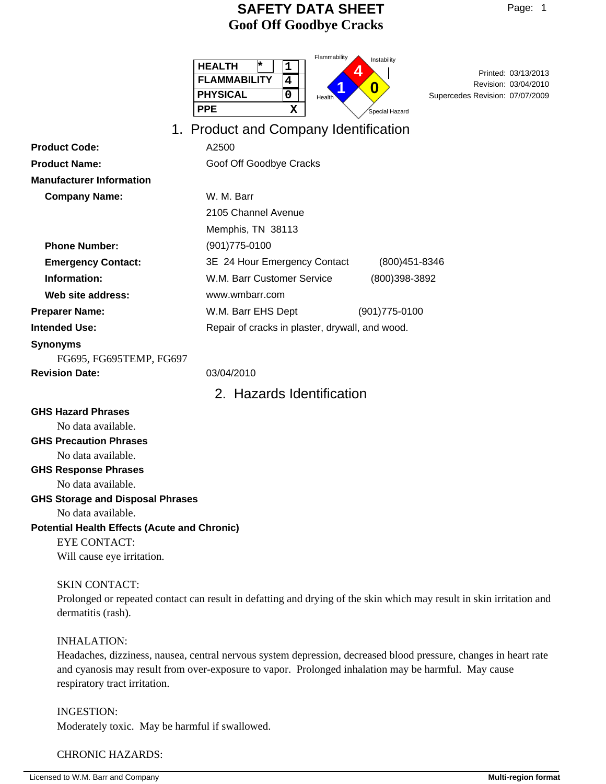Flammability

Instability

| Page: |  |
|-------|--|
|-------|--|

|                                                               | instability<br><b>HEALTH</b><br>⊭<br>1<br>4<br>Printed: 03/13/2013<br><b>FLAMMABILITY</b><br>$\overline{\mathbf{4}}$<br>Revision: 03/04/2010<br>0<br><b>PHYSICAL</b><br>0<br>Supercedes Revision: 07/07/2009<br>Health<br><b>PPE</b><br>$\mathbf x$<br>.<br>Special Hazard |
|---------------------------------------------------------------|----------------------------------------------------------------------------------------------------------------------------------------------------------------------------------------------------------------------------------------------------------------------------|
|                                                               | 1. Product and Company Identification                                                                                                                                                                                                                                      |
| <b>Product Code:</b>                                          | A2500                                                                                                                                                                                                                                                                      |
| <b>Product Name:</b>                                          | Goof Off Goodbye Cracks                                                                                                                                                                                                                                                    |
| <b>Manufacturer Information</b>                               |                                                                                                                                                                                                                                                                            |
| <b>Company Name:</b>                                          | W. M. Barr                                                                                                                                                                                                                                                                 |
|                                                               | 2105 Channel Avenue                                                                                                                                                                                                                                                        |
|                                                               | Memphis, TN 38113                                                                                                                                                                                                                                                          |
| <b>Phone Number:</b>                                          | $(901)775 - 0100$                                                                                                                                                                                                                                                          |
| <b>Emergency Contact:</b>                                     | 3E 24 Hour Emergency Contact<br>$(800)451 - 8346$                                                                                                                                                                                                                          |
| Information:                                                  | W.M. Barr Customer Service<br>(800)398-3892                                                                                                                                                                                                                                |
| Web site address:                                             | www.wmbarr.com                                                                                                                                                                                                                                                             |
| <b>Preparer Name:</b>                                         | W.M. Barr EHS Dept<br>$(901)775 - 0100$                                                                                                                                                                                                                                    |
| <b>Intended Use:</b>                                          | Repair of cracks in plaster, drywall, and wood.                                                                                                                                                                                                                            |
| <b>Synonyms</b><br>FG695, FG695TEMP, FG697                    |                                                                                                                                                                                                                                                                            |
| <b>Revision Date:</b>                                         | 03/04/2010                                                                                                                                                                                                                                                                 |
|                                                               | 2. Hazards Identification                                                                                                                                                                                                                                                  |
| <b>GHS Hazard Phrases</b>                                     |                                                                                                                                                                                                                                                                            |
| No data available.                                            |                                                                                                                                                                                                                                                                            |
| <b>GHS Precaution Phrases</b>                                 |                                                                                                                                                                                                                                                                            |
| No data available.                                            |                                                                                                                                                                                                                                                                            |
| <b>GHS Response Phrases</b>                                   |                                                                                                                                                                                                                                                                            |
| No data available.                                            |                                                                                                                                                                                                                                                                            |
| <b>GHS Storage and Disposal Phrases</b><br>No data available. |                                                                                                                                                                                                                                                                            |
| <b>Potential Health Effects (Acute and Chronic)</b>           |                                                                                                                                                                                                                                                                            |
| <b>EYE CONTACT:</b>                                           |                                                                                                                                                                                                                                                                            |
| Will cause eye irritation.                                    |                                                                                                                                                                                                                                                                            |
|                                                               |                                                                                                                                                                                                                                                                            |

#### SKIN CONTACT:

Prolonged or repeated contact can result in defatting and drying of the skin which may result in skin irritation and dermatitis (rash).

#### INHALATION:

Headaches, dizziness, nausea, central nervous system depression, decreased blood pressure, changes in heart rate and cyanosis may result from over-exposure to vapor. Prolonged inhalation may be harmful. May cause respiratory tract irritation.

INGESTION: Moderately toxic. May be harmful if swallowed.

#### CHRONIC HAZARDS: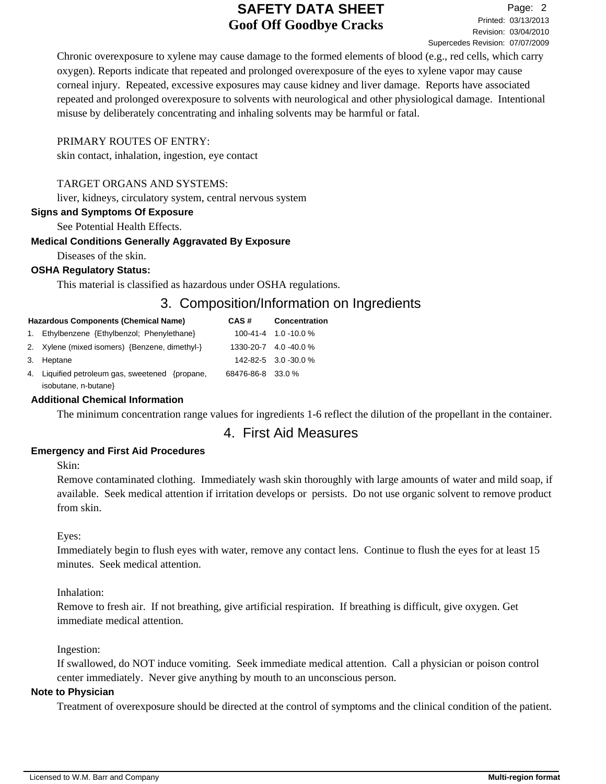Chronic overexposure to xylene may cause damage to the formed elements of blood (e.g., red cells, which carry oxygen). Reports indicate that repeated and prolonged overexposure of the eyes to xylene vapor may cause corneal injury. Repeated, excessive exposures may cause kidney and liver damage. Reports have associated repeated and prolonged overexposure to solvents with neurological and other physiological damage. Intentional misuse by deliberately concentrating and inhaling solvents may be harmful or fatal.

#### PRIMARY ROUTES OF ENTRY:

skin contact, inhalation, ingestion, eye contact

#### TARGET ORGANS AND SYSTEMS:

liver, kidneys, circulatory system, central nervous system

#### **Signs and Symptoms Of Exposure**

See Potential Health Effects.

#### **Medical Conditions Generally Aggravated By Exposure**

Diseases of the skin.

#### **OSHA Regulatory Status:**

This material is classified as hazardous under OSHA regulations.

## 3. Composition/Information on Ingredients

| <b>Hazardous Components (Chemical Name)</b>     | CAS#              | <b>Concentration</b>         |  |
|-------------------------------------------------|-------------------|------------------------------|--|
| 1. Ethylbenzene {Ethylbenzol; Phenylethane}     |                   | $100-41-4$ 1.0 -10.0 %       |  |
| 2. Xylene (mixed isomers) {Benzene, dimethyl-}  |                   | $1330 - 20 - 7$ 4.0 - 40.0 % |  |
| 3. Heptane                                      |                   | 142-82-5 3.0 -30.0 %         |  |
| 4. Liquified petroleum gas, sweetened {propane} | 68476-86-8 33.0 % |                              |  |
| isobutane, n-butane}                            |                   |                              |  |

#### **Additional Chemical Information**

The minimum concentration range values for ingredients 1-6 reflect the dilution of the propellant in the container.

## 4. First Aid Measures

#### **Emergency and First Aid Procedures**

Skin:

Remove contaminated clothing. Immediately wash skin thoroughly with large amounts of water and mild soap, if available. Seek medical attention if irritation develops or persists. Do not use organic solvent to remove product from skin.

#### Eyes:

Immediately begin to flush eyes with water, remove any contact lens. Continue to flush the eyes for at least 15 minutes. Seek medical attention.

#### Inhalation:

Remove to fresh air. If not breathing, give artificial respiration. If breathing is difficult, give oxygen. Get immediate medical attention.

Ingestion:

If swallowed, do NOT induce vomiting. Seek immediate medical attention. Call a physician or poison control center immediately. Never give anything by mouth to an unconscious person.

#### **Note to Physician**

Treatment of overexposure should be directed at the control of symptoms and the clinical condition of the patient.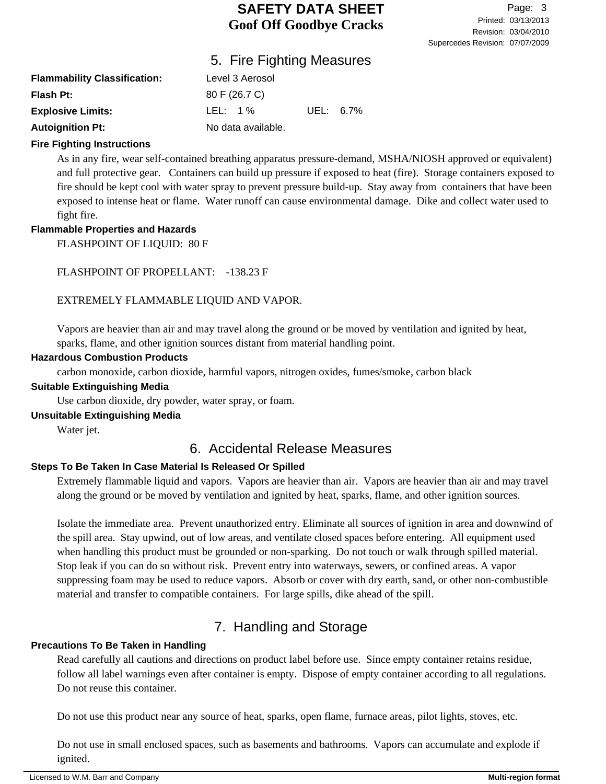## 5. Fire Fighting Measures

| <b>Flammability Classification:</b> | Level 3 Aerosol    |           |  |
|-------------------------------------|--------------------|-----------|--|
| <b>Flash Pt:</b>                    | 80 F (26.7 C)      |           |  |
| <b>Explosive Limits:</b>            | LEL: 1 $\%$        | UEL: 6.7% |  |
| <b>Autoignition Pt:</b>             | No data available. |           |  |

#### **Fire Fighting Instructions**

As in any fire, wear self-contained breathing apparatus pressure-demand, MSHA/NIOSH approved or equivalent) and full protective gear. Containers can build up pressure if exposed to heat (fire). Storage containers exposed to fire should be kept cool with water spray to prevent pressure build-up. Stay away from containers that have been exposed to intense heat or flame. Water runoff can cause environmental damage. Dike and collect water used to fight fire.

#### **Flammable Properties and Hazards**

FLASHPOINT OF LIQUID: 80 F

FLASHPOINT OF PROPELLANT: -138.23 F

### EXTREMELY FLAMMABLE LIQUID AND VAPOR.

Vapors are heavier than air and may travel along the ground or be moved by ventilation and ignited by heat, sparks, flame, and other ignition sources distant from material handling point.

#### **Hazardous Combustion Products**

carbon monoxide, carbon dioxide, harmful vapors, nitrogen oxides, fumes/smoke, carbon black

#### **Suitable Extinguishing Media**

Use carbon dioxide, dry powder, water spray, or foam.

#### **Unsuitable Extinguishing Media**

Water jet.

## 6. Accidental Release Measures

### **Steps To Be Taken In Case Material Is Released Or Spilled**

Extremely flammable liquid and vapors. Vapors are heavier than air. Vapors are heavier than air and may travel along the ground or be moved by ventilation and ignited by heat, sparks, flame, and other ignition sources.

Isolate the immediate area. Prevent unauthorized entry. Eliminate all sources of ignition in area and downwind of the spill area. Stay upwind, out of low areas, and ventilate closed spaces before entering. All equipment used when handling this product must be grounded or non-sparking. Do not touch or walk through spilled material. Stop leak if you can do so without risk. Prevent entry into waterways, sewers, or confined areas. A vapor suppressing foam may be used to reduce vapors. Absorb or cover with dry earth, sand, or other non-combustible material and transfer to compatible containers. For large spills, dike ahead of the spill.

## 7. Handling and Storage

## **Precautions To Be Taken in Handling**

Read carefully all cautions and directions on product label before use. Since empty container retains residue, follow all label warnings even after container is empty. Dispose of empty container according to all regulations. Do not reuse this container.

Do not use this product near any source of heat, sparks, open flame, furnace areas, pilot lights, stoves, etc.

Do not use in small enclosed spaces, such as basements and bathrooms. Vapors can accumulate and explode if ignited.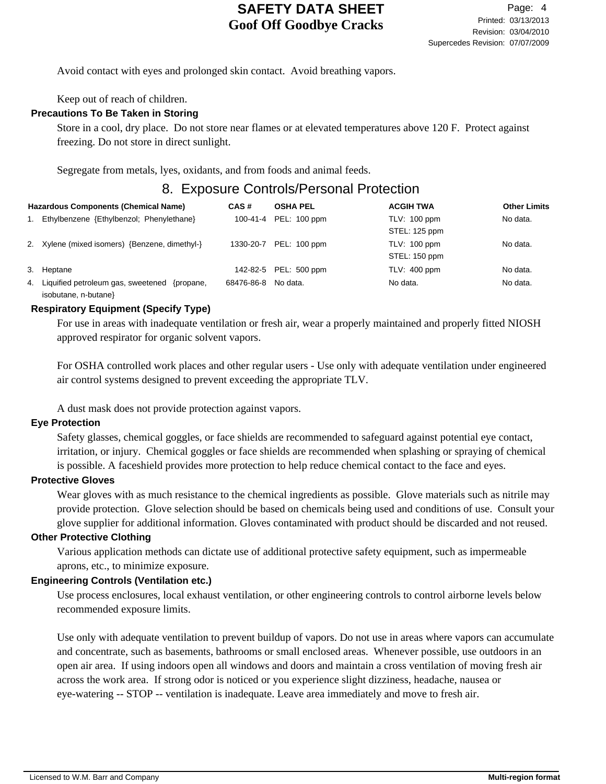Avoid contact with eyes and prolonged skin contact. Avoid breathing vapors.

Keep out of reach of children.

#### **Precautions To Be Taken in Storing**

Store in a cool, dry place. Do not store near flames or at elevated temperatures above 120 F. Protect against freezing. Do not store in direct sunlight.

Segregate from metals, lyes, oxidants, and from foods and animal feeds.

## 8. Exposure Controls/Personal Protection

| <b>Hazardous Components (Chemical Name)</b> |                                                                         | CAS#       | <b>OSHA PEL</b>        | <b>ACGIH TWA</b>                     | <b>Other Limits</b> |
|---------------------------------------------|-------------------------------------------------------------------------|------------|------------------------|--------------------------------------|---------------------|
|                                             | Ethylbenzene {Ethylbenzol; Phenylethane}                                |            | 100-41-4 PEL: 100 ppm  | TLV: 100 ppm<br>STEL: 125 ppm        | No data.            |
|                                             | 2. Xylene (mixed isomers) {Benzene, dimethyl-}                          |            | 1330-20-7 PEL: 100 ppm | <b>TLV: 100 ppm</b><br>STEL: 150 ppm | No data.            |
| 3.                                          | Heptane                                                                 |            | 142-82-5 PEL: 500 ppm  | $TLV: 400$ ppm                       | No data.            |
| 4.                                          | Liquified petroleum gas, sweetened<br>{propane.<br>isobutane, n-butane} | 68476-86-8 | No data.               | No data.                             | No data.            |

#### **Respiratory Equipment (Specify Type)**

For use in areas with inadequate ventilation or fresh air, wear a properly maintained and properly fitted NIOSH approved respirator for organic solvent vapors.

For OSHA controlled work places and other regular users - Use only with adequate ventilation under engineered air control systems designed to prevent exceeding the appropriate TLV.

A dust mask does not provide protection against vapors.

#### **Eye Protection**

Safety glasses, chemical goggles, or face shields are recommended to safeguard against potential eye contact, irritation, or injury. Chemical goggles or face shields are recommended when splashing or spraying of chemical is possible. A faceshield provides more protection to help reduce chemical contact to the face and eyes.

#### **Protective Gloves**

Wear gloves with as much resistance to the chemical ingredients as possible. Glove materials such as nitrile may provide protection. Glove selection should be based on chemicals being used and conditions of use. Consult your glove supplier for additional information. Gloves contaminated with product should be discarded and not reused.

#### **Other Protective Clothing**

Various application methods can dictate use of additional protective safety equipment, such as impermeable aprons, etc., to minimize exposure.

#### **Engineering Controls (Ventilation etc.)**

Use process enclosures, local exhaust ventilation, or other engineering controls to control airborne levels below recommended exposure limits.

Use only with adequate ventilation to prevent buildup of vapors. Do not use in areas where vapors can accumulate and concentrate, such as basements, bathrooms or small enclosed areas. Whenever possible, use outdoors in an open air area. If using indoors open all windows and doors and maintain a cross ventilation of moving fresh air across the work area. If strong odor is noticed or you experience slight dizziness, headache, nausea or eye-watering -- STOP -- ventilation is inadequate. Leave area immediately and move to fresh air.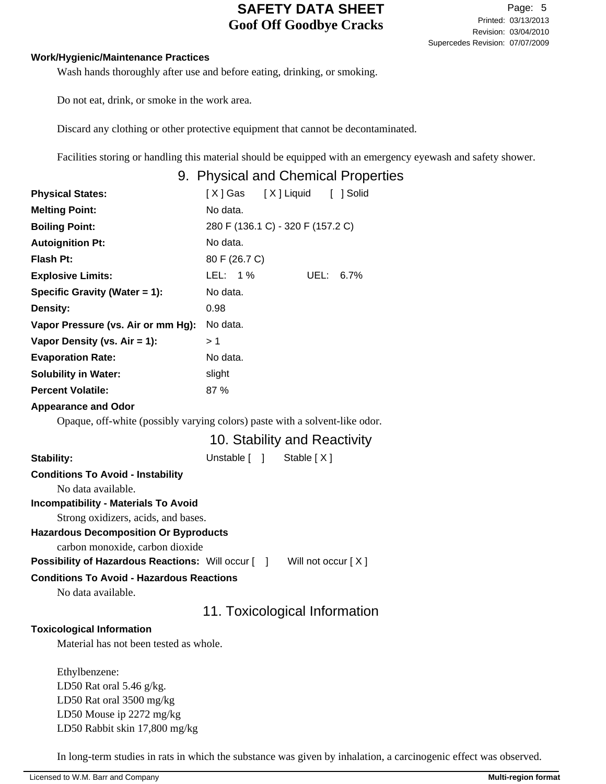#### **Work/Hygienic/Maintenance Practices**

Wash hands thoroughly after use and before eating, drinking, or smoking.

Do not eat, drink, or smoke in the work area.

Discard any clothing or other protective equipment that cannot be decontaminated.

Facilities storing or handling this material should be equipped with an emergency eyewash and safety shower.

|                                                                        | 9. Physical and Chemical Properties                                         |
|------------------------------------------------------------------------|-----------------------------------------------------------------------------|
| <b>Physical States:</b>                                                | [X] Liquid [ ] Solid<br>[X] Gas                                             |
| <b>Melting Point:</b>                                                  | No data.                                                                    |
| <b>Boiling Point:</b>                                                  | 280 F (136.1 C) - 320 F (157.2 C)                                           |
| <b>Autoignition Pt:</b>                                                | No data.                                                                    |
| Flash Pt:                                                              | 80 F (26.7 C)                                                               |
| <b>Explosive Limits:</b>                                               | LEL: 1%<br>UEL: 6.7%                                                        |
| Specific Gravity (Water = 1):                                          | No data.                                                                    |
| Density:                                                               | 0.98                                                                        |
| Vapor Pressure (vs. Air or mm Hg):                                     | No data.                                                                    |
| Vapor Density (vs. Air = 1):                                           | >1                                                                          |
| <b>Evaporation Rate:</b>                                               | No data.                                                                    |
| <b>Solubility in Water:</b>                                            | slight                                                                      |
| <b>Percent Volatile:</b>                                               | 87 %                                                                        |
| <b>Appearance and Odor</b>                                             |                                                                             |
|                                                                        | Opaque, off-white (possibly varying colors) paste with a solvent-like odor. |
|                                                                        | 10. Stability and Reactivity                                                |
| Stability:                                                             | Unstable [ ] Stable [X]                                                     |
| <b>Conditions To Avoid - Instability</b><br>No data available.         |                                                                             |
| <b>Incompatibility - Materials To Avoid</b>                            |                                                                             |
| Strong oxidizers, acids, and bases.                                    |                                                                             |
| <b>Hazardous Decomposition Or Byproducts</b>                           |                                                                             |
| carbon monoxide, carbon dioxide                                        |                                                                             |
| <b>Possibility of Hazardous Reactions:</b> Will occur [ ]              | Will not occur [X]                                                          |
| <b>Conditions To Avoid - Hazardous Reactions</b><br>No data available. |                                                                             |
|                                                                        | 11. Toxicological Information                                               |
| <b>Toxicological Information</b>                                       |                                                                             |
| Material has not been tested as whole.                                 |                                                                             |
| Ethylbenzene:                                                          |                                                                             |

LD50 Rat oral 5.46 g/kg. LD50 Rat oral 3500 mg/kg LD50 Mouse ip 2272 mg/kg LD50 Rabbit skin 17,800 mg/kg

In long-term studies in rats in which the substance was given by inhalation, a carcinogenic effect was observed.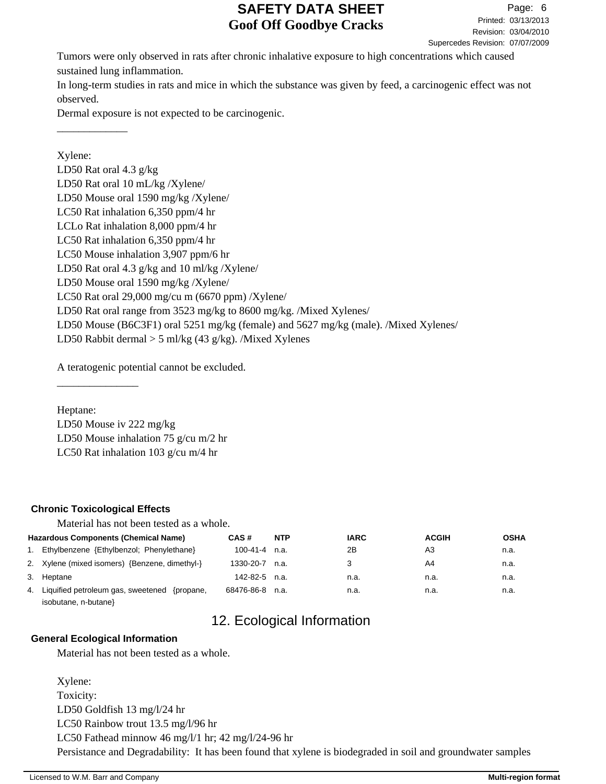Revision: 03/04/2010 Printed: 03/13/2013 Page: 6 Supercedes Revision: 07/07/2009

Tumors were only observed in rats after chronic inhalative exposure to high concentrations which caused sustained lung inflammation.

In long-term studies in rats and mice in which the substance was given by feed, a carcinogenic effect was not observed.

Dermal exposure is not expected to be carcinogenic.

Xylene: LD50 Rat oral 4.3 g/kg LD50 Rat oral 10 mL/kg /Xylene/ LD50 Mouse oral 1590 mg/kg /Xylene/ LC50 Rat inhalation 6,350 ppm/4 hr LCLo Rat inhalation 8,000 ppm/4 hr LC50 Rat inhalation 6,350 ppm/4 hr LC50 Mouse inhalation 3,907 ppm/6 hr LD50 Rat oral 4.3 g/kg and 10 ml/kg /Xylene/ LD50 Mouse oral 1590 mg/kg /Xylene/ LC50 Rat oral 29,000 mg/cu m (6670 ppm) /Xylene/ LD50 Rat oral range from 3523 mg/kg to 8600 mg/kg. /Mixed Xylenes/ LD50 Mouse (B6C3F1) oral 5251 mg/kg (female) and 5627 mg/kg (male). /Mixed Xylenes/ LD50 Rabbit dermal  $>$  5 ml/kg (43 g/kg). /Mixed Xylenes

A teratogenic potential cannot be excluded.

Heptane:

\_\_\_\_\_\_\_\_\_\_\_\_\_

LD50 Mouse iv 222 mg/kg LD50 Mouse inhalation 75 g/cu m/2 hr LC50 Rat inhalation 103 g/cu m/4 hr

### **Chronic Toxicological Effects**

\_\_\_\_\_\_\_\_\_\_\_\_\_\_\_

Material has not been tested as a whole.

| <b>Hazardous Components (Chemical Name)</b>        | CAS#                | <b>NTP</b> | <b>IARC</b> | <b>ACGIH</b> | <b>OSHA</b> |
|----------------------------------------------------|---------------------|------------|-------------|--------------|-------------|
| 1. Ethylbenzene {Ethylbenzol; Phenylethane}        | $100-41-4$ n.a.     |            | 2Β          | A3           | n.a.        |
| 2. Xylene (mixed isomers) {Benzene, dimethyl-}     | 1330-20-7 n.a.      |            | 3           | A4           | n.a.        |
| 3. Heptane                                         | $142 - 82 - 5$ n.a. |            | n.a.        | n.a.         | n.a.        |
| 4. Liquified petroleum gas, sweetened<br>{propane, | 68476-86-8 n.a.     |            | n.a.        | n.a.         | n.a.        |

isobutane, n-butane}

# 12. Ecological Information

#### **General Ecological Information**

Material has not been tested as a whole.

Xylene: Toxicity: LD50 Goldfish 13 mg/l/24 hr LC50 Rainbow trout 13.5 mg/l/96 hr LC50 Fathead minnow 46 mg/l/1 hr; 42 mg/l/24-96 hr Persistance and Degradability: It has been found that xylene is biodegraded in soil and groundwater samples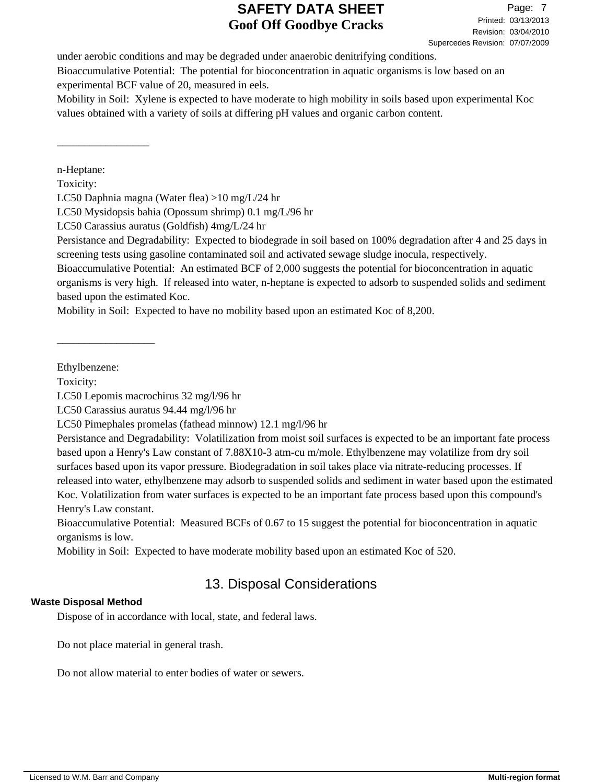under aerobic conditions and may be degraded under anaerobic denitrifying conditions. Bioaccumulative Potential: The potential for bioconcentration in aquatic organisms is low based on an experimental BCF value of 20, measured in eels.

Mobility in Soil: Xylene is expected to have moderate to high mobility in soils based upon experimental Koc values obtained with a variety of soils at differing pH values and organic carbon content.

n-Heptane:

\_\_\_\_\_\_\_\_\_\_\_\_\_\_\_\_\_

Toxicity:

LC50 Daphnia magna (Water flea) >10 mg/L/24 hr

LC50 Mysidopsis bahia (Opossum shrimp) 0.1 mg/L/96 hr

LC50 Carassius auratus (Goldfish) 4mg/L/24 hr

Persistance and Degradability: Expected to biodegrade in soil based on 100% degradation after 4 and 25 days in screening tests using gasoline contaminated soil and activated sewage sludge inocula, respectively.

Bioaccumulative Potential: An estimated BCF of 2,000 suggests the potential for bioconcentration in aquatic organisms is very high. If released into water, n-heptane is expected to adsorb to suspended solids and sediment based upon the estimated Koc.

Mobility in Soil: Expected to have no mobility based upon an estimated Koc of 8,200.

Ethylbenzene:

\_\_\_\_\_\_\_\_\_\_\_\_\_\_\_\_\_\_

Toxicity:

LC50 Lepomis macrochirus 32 mg/l/96 hr

LC50 Carassius auratus 94.44 mg/l/96 hr

Persistance and Degradability: Volatilization from moist soil surfaces is expected to be an important fate process based upon a Henry's Law constant of 7.88X10-3 atm-cu m/mole. Ethylbenzene may volatilize from dry soil surfaces based upon its vapor pressure. Biodegradation in soil takes place via nitrate-reducing processes. If released into water, ethylbenzene may adsorb to suspended solids and sediment in water based upon the estimated Koc. Volatilization from water surfaces is expected to be an important fate process based upon this compound's Henry's Law constant.

Bioaccumulative Potential: Measured BCFs of 0.67 to 15 suggest the potential for bioconcentration in aquatic organisms is low.

Mobility in Soil: Expected to have moderate mobility based upon an estimated Koc of 520.

# 13. Disposal Considerations

### **Waste Disposal Method**

Dispose of in accordance with local, state, and federal laws.

Do not place material in general trash.

Do not allow material to enter bodies of water or sewers.

LC50 Pimephales promelas (fathead minnow) 12.1 mg/l/96 hr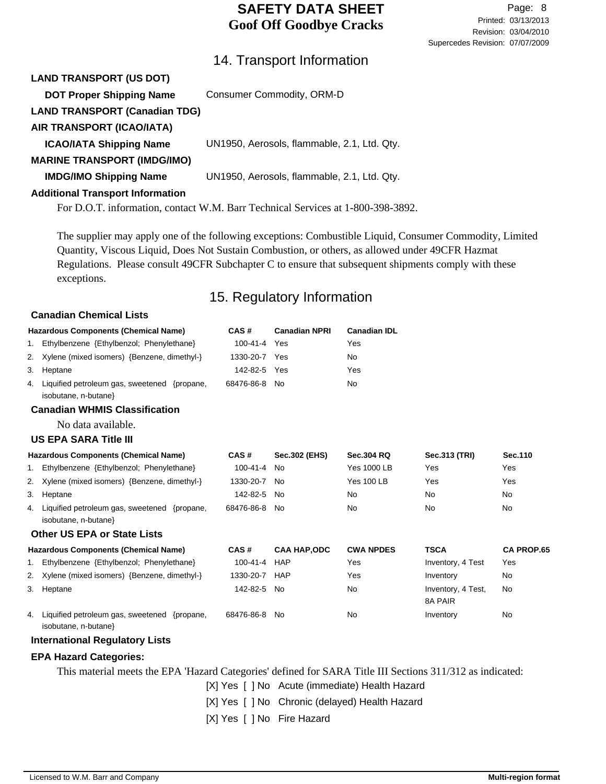## 14. Transport Information

| <b>LAND TRANSPORT (US DOT)</b>          |                                                                                 |
|-----------------------------------------|---------------------------------------------------------------------------------|
| <b>DOT Proper Shipping Name</b>         | Consumer Commodity, ORM-D                                                       |
| <b>LAND TRANSPORT (Canadian TDG)</b>    |                                                                                 |
| AIR TRANSPORT (ICAO/IATA)               |                                                                                 |
| <b>ICAO/IATA Shipping Name</b>          | UN1950, Aerosols, flammable, 2.1, Ltd. Qty.                                     |
| <b>MARINE TRANSPORT (IMDG/IMO)</b>      |                                                                                 |
| <b>IMDG/IMO Shipping Name</b>           | UN1950, Aerosols, flammable, 2.1, Ltd. Qty.                                     |
| <b>Additional Transport Information</b> |                                                                                 |
|                                         | For D.O.T. information, contact W.M. Barr Technical Services at 1-800-398-3892. |
|                                         |                                                                                 |

The supplier may apply one of the following exceptions: Combustible Liquid, Consumer Commodity, Limited Quantity, Viscous Liquid, Does Not Sustain Combustion, or others, as allowed under 49CFR Hazmat Regulations. Please consult 49CFR Subchapter C to ensure that subsequent shipments comply with these exceptions.

## 15. Regulatory Information

#### **Canadian Chemical Lists**

|    | <b>Hazardous Components (Chemical Name)</b>                             | CAS#           | <b>Canadian NPRI</b> | <b>Canadian IDL</b> |                               |                   |
|----|-------------------------------------------------------------------------|----------------|----------------------|---------------------|-------------------------------|-------------------|
|    | 1. Ethylbenzene {Ethylbenzol; Phenylethane}                             | $100 - 41 - 4$ | Yes                  | Yes                 |                               |                   |
| 2. | Xylene (mixed isomers) {Benzene, dimethyl-}                             | 1330-20-7 Yes  |                      | No                  |                               |                   |
| 3. | Heptane                                                                 | 142-82-5       | Yes                  | Yes                 |                               |                   |
| 4. | Liquified petroleum gas, sweetened {propane,<br>isobutane, n-butane}    | 68476-86-8 No  |                      | No                  |                               |                   |
|    | <b>Canadian WHMIS Classification</b>                                    |                |                      |                     |                               |                   |
|    | No data available.                                                      |                |                      |                     |                               |                   |
|    | <b>US EPA SARA Title III</b>                                            |                |                      |                     |                               |                   |
|    | <b>Hazardous Components (Chemical Name)</b>                             | CAS#           | <b>Sec.302 (EHS)</b> | <b>Sec.304 RQ</b>   | Sec.313 (TRI)                 | Sec.110           |
|    | 1. Ethylbenzene {Ethylbenzol; Phenylethane}                             | 100-41-4       | <b>No</b>            | <b>Yes 1000 LB</b>  | Yes                           | Yes               |
| 2. | Xylene (mixed isomers) {Benzene, dimethyl-}                             | 1330-20-7      | No                   | <b>Yes 100 LB</b>   | Yes                           | Yes               |
| 3. | Heptane                                                                 | 142-82-5       | No                   | No                  | <b>No</b>                     | No                |
| 4. | Liquified petroleum gas, sweetened {propane,<br>isobutane, n-butane}    | 68476-86-8     | No                   | No                  | <b>No</b>                     | <b>No</b>         |
|    | <b>Other US EPA or State Lists</b>                                      |                |                      |                     |                               |                   |
|    | <b>Hazardous Components (Chemical Name)</b>                             | CAS#           | <b>CAA HAP, ODC</b>  | <b>CWA NPDES</b>    | <b>TSCA</b>                   | <b>CA PROP.65</b> |
|    | 1. Ethylbenzene {Ethylbenzol; Phenylethane}                             | 100-41-4       | <b>HAP</b>           | Yes                 | Inventory, 4 Test             | Yes               |
|    | 2. Xylene (mixed isomers) {Benzene, dimethyl-}                          | 1330-20-7      | HAP                  | Yes                 | Inventory                     | <b>No</b>         |
| 3. | Heptane                                                                 | 142-82-5       | No                   | No                  | Inventory, 4 Test,<br>8A PAIR | <b>No</b>         |
|    | 4. Liquified petroleum gas, sweetened {propane,<br>isobutane, n-butane} | 68476-86-8 No  |                      | No                  | Inventory                     | No                |
|    | <b>International Regulatory Lists</b>                                   |                |                      |                     |                               |                   |

#### **EPA Hazard Categories:**

This material meets the EPA 'Hazard Categories' defined for SARA Title III Sections 311/312 as indicated:

[X] Yes [ ] No Acute (immediate) Health Hazard

[X] Yes [ ] No Chronic (delayed) Health Hazard

[X] Yes [ ] No Fire Hazard